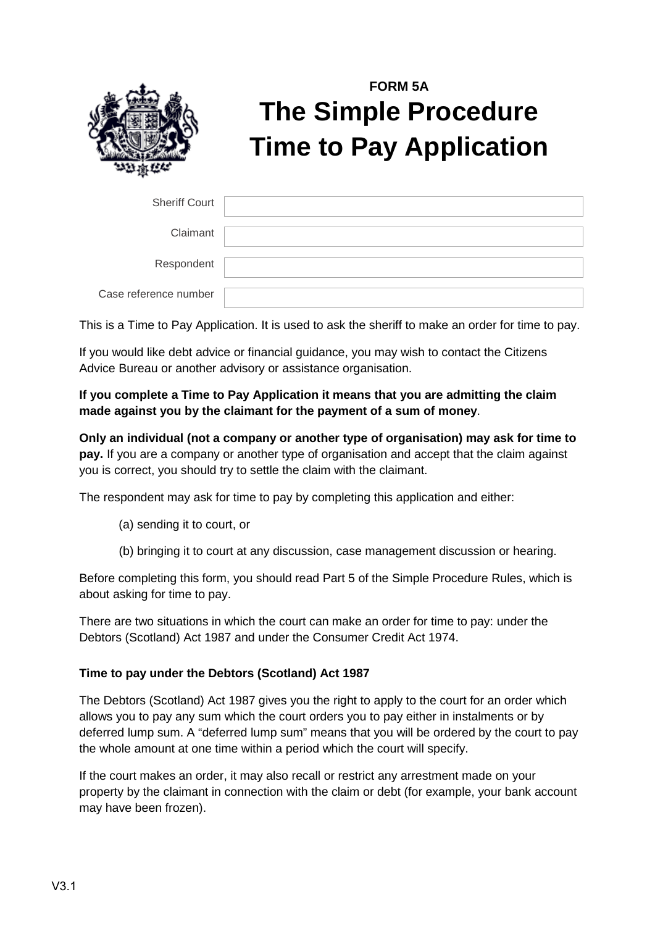

# **FORM 5A The Simple Procedure Time to Pay Application**

| <b>Sheriff Court</b>  |  |
|-----------------------|--|
| Claimant              |  |
| Respondent            |  |
| Case reference number |  |

This is a Time to Pay Application. It is used to ask the sheriff to make an order for time to pay.

If you would like debt advice or financial guidance, you may wish to contact the Citizens Advice Bureau or another advisory or assistance organisation.

# **If you complete a Time to Pay Application it means that you are admitting the claim made against you by the claimant for the payment of a sum of money**.

**Only an individual (not a company or another type of organisation) may ask for time to pay.** If you are a company or another type of organisation and accept that the claim against you is correct, you should try to settle the claim with the claimant.

The respondent may ask for time to pay by completing this application and either:

- (a) sending it to court, or
- (b) bringing it to court at any discussion, case management discussion or hearing.

Before completing this form, you should read Part 5 of the Simple Procedure Rules, which is about asking for time to pay.

There are two situations in which the court can make an order for time to pay: under the Debtors (Scotland) Act 1987 and under the Consumer Credit Act 1974.

## **Time to pay under the Debtors (Scotland) Act 1987**

The Debtors (Scotland) Act 1987 gives you the right to apply to the court for an order which allows you to pay any sum which the court orders you to pay either in instalments or by deferred lump sum. A "deferred lump sum" means that you will be ordered by the court to pay the whole amount at one time within a period which the court will specify.

If the court makes an order, it may also recall or restrict any arrestment made on your property by the claimant in connection with the claim or debt (for example, your bank account may have been frozen).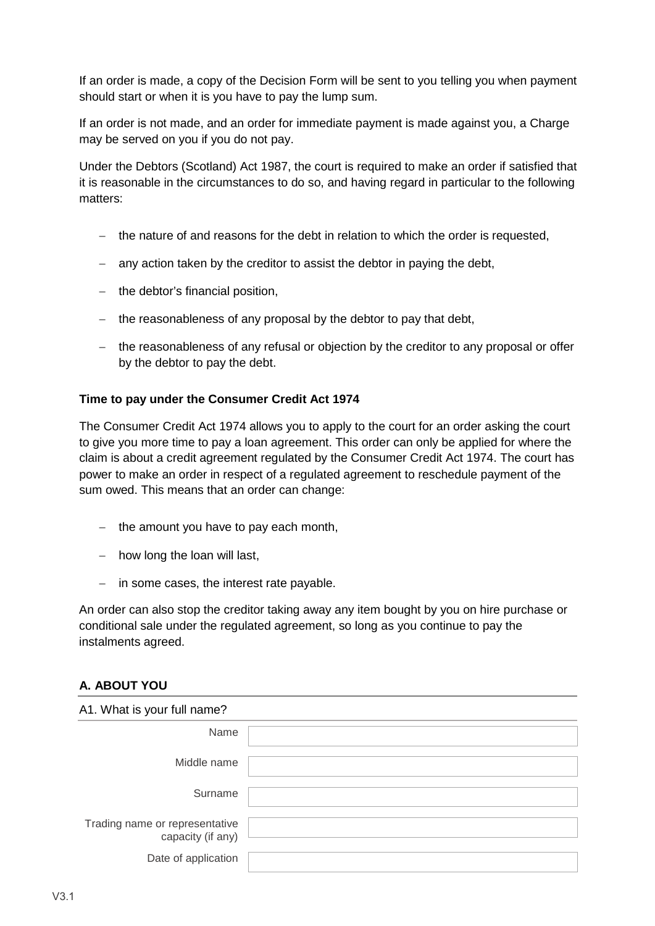If an order is made, a copy of the Decision Form will be sent to you telling you when payment should start or when it is you have to pay the lump sum.

If an order is not made, and an order for immediate payment is made against you, a Charge may be served on you if you do not pay.

Under the Debtors (Scotland) Act 1987, the court is required to make an order if satisfied that it is reasonable in the circumstances to do so, and having regard in particular to the following matters:

- − the nature of and reasons for the debt in relation to which the order is requested,
- − any action taken by the creditor to assist the debtor in paying the debt,
- − the debtor's financial position,
- − the reasonableness of any proposal by the debtor to pay that debt,
- − the reasonableness of any refusal or objection by the creditor to any proposal or offer by the debtor to pay the debt.

# **Time to pay under the Consumer Credit Act 1974**

The Consumer Credit Act 1974 allows you to apply to the court for an order asking the court to give you more time to pay a loan agreement. This order can only be applied for where the claim is about a credit agreement regulated by the Consumer Credit Act 1974. The court has power to make an order in respect of a regulated agreement to reschedule payment of the sum owed. This means that an order can change:

- − the amount you have to pay each month,
- − how long the loan will last,
- − in some cases, the interest rate payable.

An order can also stop the creditor taking away any item bought by you on hire purchase or conditional sale under the regulated agreement, so long as you continue to pay the instalments agreed.

# **A. ABOUT YOU**

| A1. What is your full name?                         |  |  |  |
|-----------------------------------------------------|--|--|--|
| Name                                                |  |  |  |
| Middle name                                         |  |  |  |
| Surname                                             |  |  |  |
| Trading name or representative<br>capacity (if any) |  |  |  |
| Date of application                                 |  |  |  |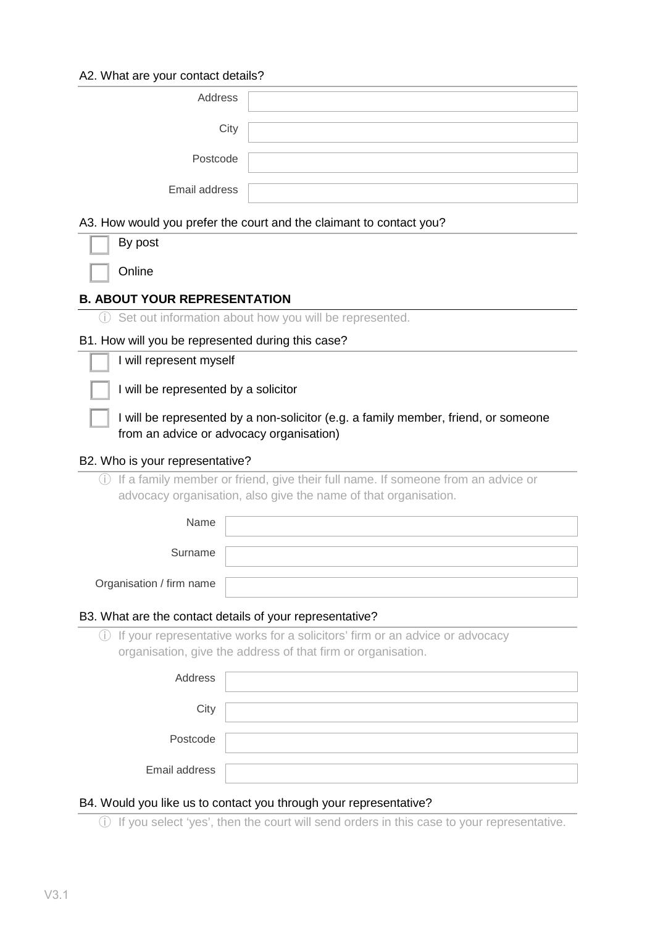#### A2. What are your contact details?

| Address       |  |
|---------------|--|
| City          |  |
| Postcode      |  |
| Email address |  |

#### A3. How would you prefer the court and the claimant to contact you?

|  | By post |
|--|---------|
|  |         |

**Online** 

# **B. ABOUT YOUR REPRESENTATION**

ⓘ Set out information about how you will be represented.

## B1. How will you be represented during this case?

⃣ I will represent myself

I will be represented by a solicitor

I will be represented by a non-solicitor (e.g. a family member, friend, or someone from an advice or advocacy organisation)

#### B2. Who is your representative?

ⓘ If a family member or friend, give their full name. If someone from an advice or advocacy organisation, also give the name of that organisation.

| Name                     |  |
|--------------------------|--|
| Surname                  |  |
| Organisation / firm name |  |

#### B3. What are the contact details of your representative?

ⓘ If your representative works for a solicitors' firm or an advice or advocacy organisation, give the address of that firm or organisation.

| Address       |  |
|---------------|--|
| City          |  |
| Postcode      |  |
| Email address |  |

#### B4. Would you like us to contact you through your representative?

ⓘ If you select 'yes', then the court will send orders in this case to your representative.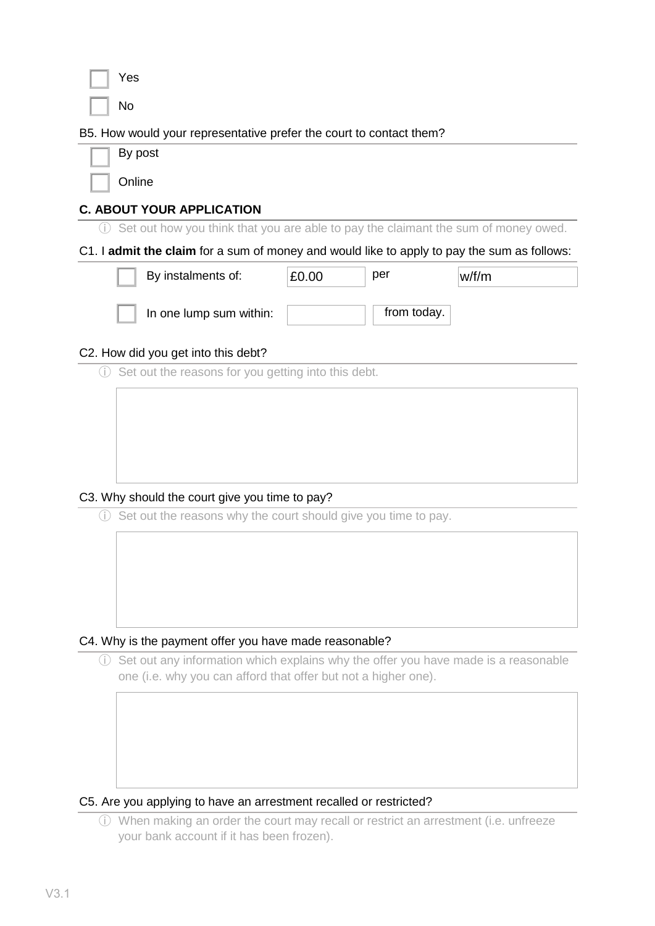|--|

⃣ No

## B5. How would your representative prefer the court to contact them?

|  | By post |
|--|---------|
|  |         |

**Online** 

# **C. ABOUT YOUR APPLICATION**

ⓘ Set out how you think that you are able to pay the claimant the sum of money owed.

# C1. I **admit the claim** for a sum of money and would like to apply to pay the sum as follows:

| By instalments of:      | £0.00 | per         | w/f/m |
|-------------------------|-------|-------------|-------|
| In one lump sum within: |       | from today. |       |

# C2. How did you get into this debt?

ⓘ Set out the reasons for you getting into this debt.

# C3. Why should the court give you time to pay?

ⓘ Set out the reasons why the court should give you time to pay.

## C4. Why is the payment offer you have made reasonable?

ⓘ Set out any information which explains why the offer you have made is a reasonable one (i.e. why you can afford that offer but not a higher one).

## C5. Are you applying to have an arrestment recalled or restricted?

ⓘ When making an order the court may recall or restrict an arrestment (i.e. unfreeze your bank account if it has been frozen).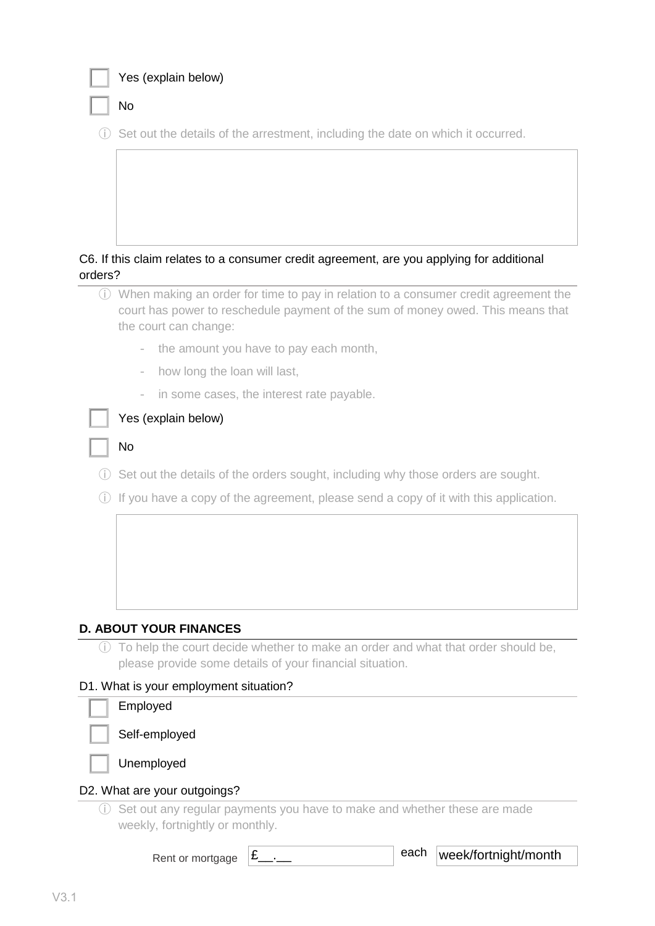|         | Yes (explain below)                                                                                                                                                                             |
|---------|-------------------------------------------------------------------------------------------------------------------------------------------------------------------------------------------------|
|         | <b>No</b>                                                                                                                                                                                       |
|         | Set out the details of the arrestment, including the date on which it occurred.                                                                                                                 |
|         |                                                                                                                                                                                                 |
|         |                                                                                                                                                                                                 |
|         |                                                                                                                                                                                                 |
|         |                                                                                                                                                                                                 |
|         |                                                                                                                                                                                                 |
| orders? | C6. If this claim relates to a consumer credit agreement, are you applying for additional                                                                                                       |
| (i)     | When making an order for time to pay in relation to a consumer credit agreement the<br>court has power to reschedule payment of the sum of money owed. This means that<br>the court can change: |
|         | the amount you have to pay each month,                                                                                                                                                          |
|         | how long the loan will last,                                                                                                                                                                    |
|         | in some cases, the interest rate payable.                                                                                                                                                       |
|         | Yes (explain below)                                                                                                                                                                             |

- ⓘ Set out the details of the orders sought, including why those orders are sought.
- ⓘ If you have a copy of the agreement, please send a copy of it with this application.

# **D. ABOUT YOUR FINANCES**

ⓘ To help the court decide whether to make an order and what that order should be, please provide some details of your financial situation.

# D1. What is your employment situation?

| Employed      |
|---------------|
| Self-employed |

**Unemployed** 

# D2. What are your outgoings?

ⓘ Set out any regular payments you have to make and whether these are made weekly, fortnightly or monthly.

Rent or mortgage  $\boxed{\mathbf{E}$ <sub>...</sub>

each week/fortnight/month